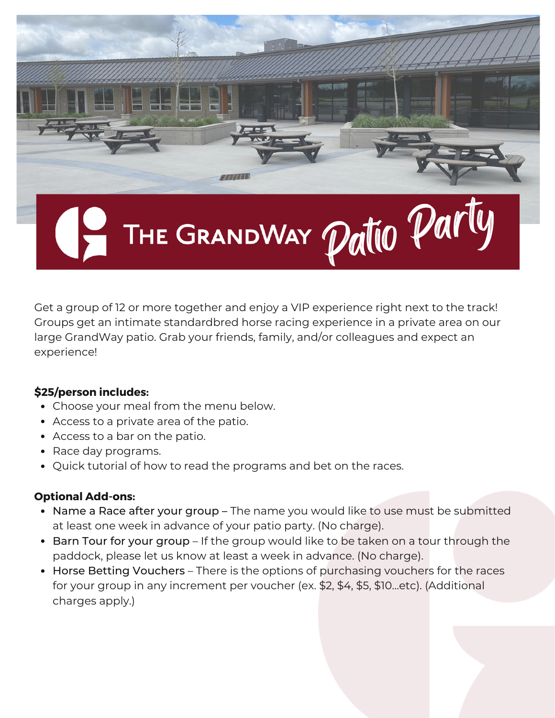

Get a group of 12 or more together and enjoy a VIP experience right next to the track! Groups get an intimate standardbred horse racing experience in a private area on our large GrandWay patio. Grab your friends, family, and/or colleagues and expect an experience!

# **\$25/person includes:**

- Choose your meal from the menu below.
- Access to a private area of the patio.
- Access to a bar on the patio.
- Race day programs.
- Quick tutorial of how to read the programs and bet on the races.

# **Optional Add-ons:**

- Name a Race after your group The name you would like to use must be submitted at least one week in advance of your patio party. (No charge).
- Barn Tour for your group If the group would like to be taken on a tour through the paddock, please let us know at least a week in advance. (No charge).
- Horse Betting Vouchers There is the options of purchasing vouchers for the races for your group in any increment per voucher (ex. \$2, \$4, \$5, \$10…etc). (Additional charges apply.)